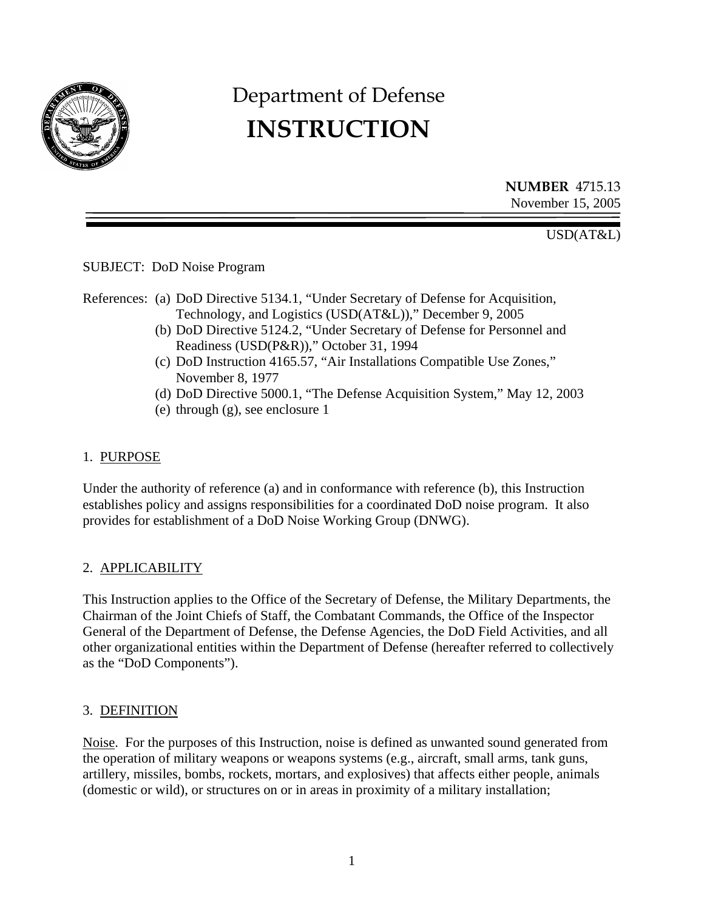

# Department of Defense **INSTRUCTION**

**NUMBER** 4715.13 November 15, 2005

USD(AT&L)

SUBJECT: DoD Noise Program

- References: (a) DoD Directive 5134.1, "Under Secretary of Defense for Acquisition, Technology, and Logistics (USD(AT&L))," December 9, 2005
	- (b) DoD Directive 5124.2, "Under Secretary of Defense for Personnel and Readiness (USD(P&R))," October 31, 1994
	- (c) DoD Instruction 4165.57, "Air Installations Compatible Use Zones," November 8, 1977
	- (d) DoD Directive 5000.1, "The Defense Acquisition System," May 12, 2003
	- (e) through (g), see enclosure 1

#### 1. PURPOSE

Under the authority of reference (a) and in conformance with reference (b), this Instruction establishes policy and assigns responsibilities for a coordinated DoD noise program. It also provides for establishment of a DoD Noise Working Group (DNWG).

## 2. APPLICABILITY

This Instruction applies to the Office of the Secretary of Defense, the Military Departments, the Chairman of the Joint Chiefs of Staff, the Combatant Commands, the Office of the Inspector General of the Department of Defense, the Defense Agencies, the DoD Field Activities, and all other organizational entities within the Department of Defense (hereafter referred to collectively as the "DoD Components").

## 3. DEFINITION

Noise. For the purposes of this Instruction, noise is defined as unwanted sound generated from the operation of military weapons or weapons systems (e.g., aircraft, small arms, tank guns, artillery, missiles, bombs, rockets, mortars, and explosives) that affects either people, animals (domestic or wild), or structures on or in areas in proximity of a military installation;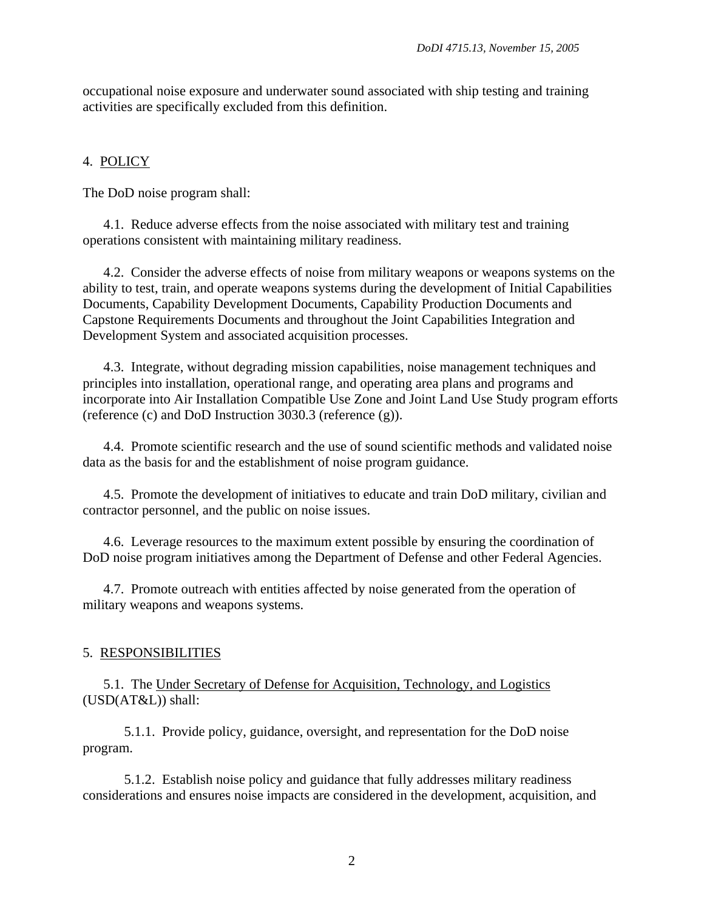occupational noise exposure and underwater sound associated with ship testing and training activities are specifically excluded from this definition.

## 4. POLICY

The DoD noise program shall:

4.1. Reduce adverse effects from the noise associated with military test and training operations consistent with maintaining military readiness.

4.2. Consider the adverse effects of noise from military weapons or weapons systems on the ability to test, train, and operate weapons systems during the development of Initial Capabilities Documents, Capability Development Documents, Capability Production Documents and Capstone Requirements Documents and throughout the Joint Capabilities Integration and Development System and associated acquisition processes.

4.3. Integrate, without degrading mission capabilities, noise management techniques and principles into installation, operational range, and operating area plans and programs and incorporate into Air Installation Compatible Use Zone and Joint Land Use Study program efforts (reference (c) and DoD Instruction 3030.3 (reference (g)).

4.4. Promote scientific research and the use of sound scientific methods and validated noise data as the basis for and the establishment of noise program guidance.

4.5. Promote the development of initiatives to educate and train DoD military, civilian and contractor personnel, and the public on noise issues.

4.6. Leverage resources to the maximum extent possible by ensuring the coordination of DoD noise program initiatives among the Department of Defense and other Federal Agencies.

4.7. Promote outreach with entities affected by noise generated from the operation of military weapons and weapons systems.

#### 5. RESPONSIBILITIES

5.1. The Under Secretary of Defense for Acquisition, Technology, and Logistics (USD(AT&L)) shall:

5.1.1. Provide policy, guidance, oversight, and representation for the DoD noise program.

5.1.2. Establish noise policy and guidance that fully addresses military readiness considerations and ensures noise impacts are considered in the development, acquisition, and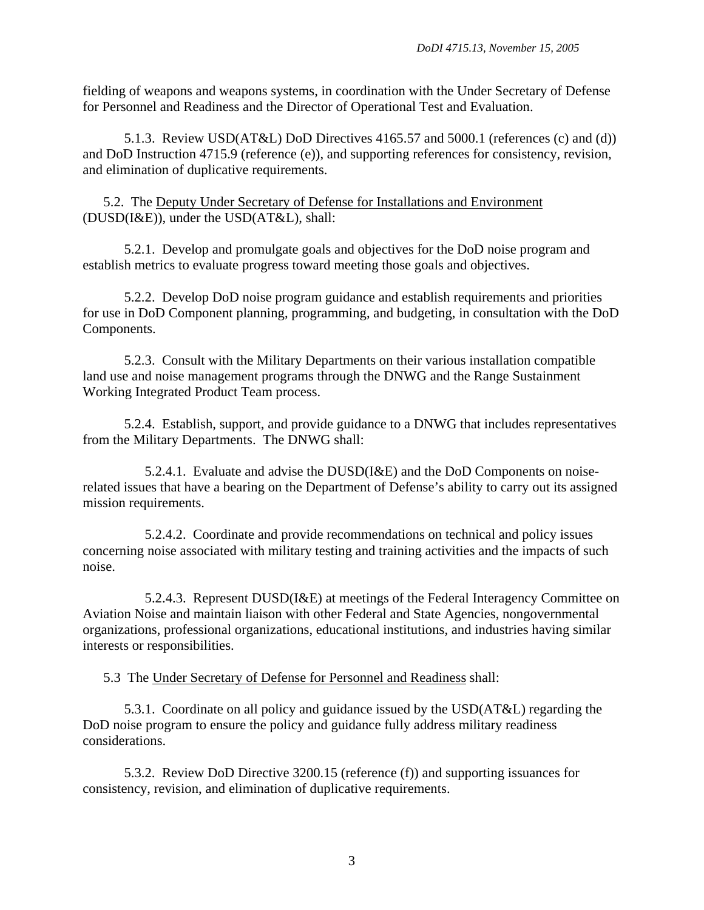fielding of weapons and weapons systems, in coordination with the Under Secretary of Defense for Personnel and Readiness and the Director of Operational Test and Evaluation.

5.1.3. Review USD(AT&L) DoD Directives 4165.57 and 5000.1 (references (c) and (d)) and DoD Instruction 4715.9 (reference (e)), and supporting references for consistency, revision, and elimination of duplicative requirements.

5.2. The Deputy Under Secretary of Defense for Installations and Environment (DUSD(I&E)), under the USD(AT&L), shall:

5.2.1. Develop and promulgate goals and objectives for the DoD noise program and establish metrics to evaluate progress toward meeting those goals and objectives.

5.2.2. Develop DoD noise program guidance and establish requirements and priorities for use in DoD Component planning, programming, and budgeting, in consultation with the DoD Components.

5.2.3. Consult with the Military Departments on their various installation compatible land use and noise management programs through the DNWG and the Range Sustainment Working Integrated Product Team process.

5.2.4. Establish, support, and provide guidance to a DNWG that includes representatives from the Military Departments. The DNWG shall:

5.2.4.1. Evaluate and advise the DUSD(I&E) and the DoD Components on noiserelated issues that have a bearing on the Department of Defense's ability to carry out its assigned mission requirements.

5.2.4.2. Coordinate and provide recommendations on technical and policy issues concerning noise associated with military testing and training activities and the impacts of such noise.

5.2.4.3. Represent DUSD(I&E) at meetings of the Federal Interagency Committee on Aviation Noise and maintain liaison with other Federal and State Agencies, nongovernmental organizations, professional organizations, educational institutions, and industries having similar interests or responsibilities.

5.3 The Under Secretary of Defense for Personnel and Readiness shall:

5.3.1. Coordinate on all policy and guidance issued by the USD(AT&L) regarding the DoD noise program to ensure the policy and guidance fully address military readiness considerations.

5.3.2. Review DoD Directive 3200.15 (reference (f)) and supporting issuances for consistency, revision, and elimination of duplicative requirements.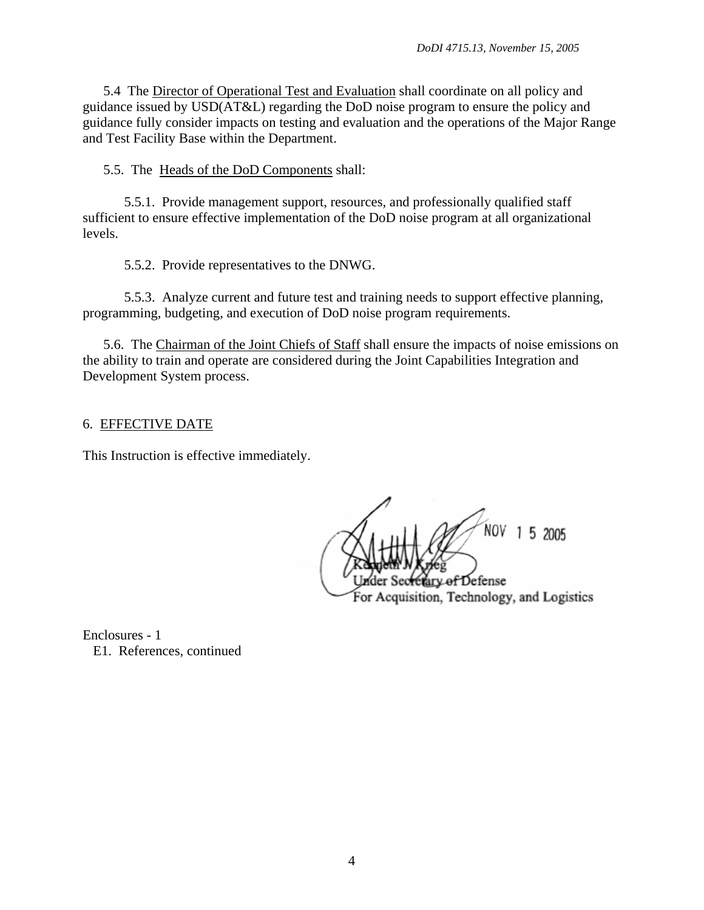5.4 The Director of Operational Test and Evaluation shall coordinate on all policy and guidance issued by USD(AT&L) regarding the DoD noise program to ensure the policy and guidance fully consider impacts on testing and evaluation and the operations of the Major Range and Test Facility Base within the Department.

5.5. The Heads of the DoD Components shall:

5.5.1. Provide management support, resources, and professionally qualified staff sufficient to ensure effective implementation of the DoD noise program at all organizational levels.

5.5.2. Provide representatives to the DNWG.

5.5.3. Analyze current and future test and training needs to support effective planning, programming, budgeting, and execution of DoD noise program requirements.

5.6. The Chairman of the Joint Chiefs of Staff shall ensure the impacts of noise emissions on the ability to train and operate are considered during the Joint Capabilities Integration and Development System process.

#### 6. EFFECTIVE DATE

This Instruction is effective immediately.

NOV 1 5 2005 v of Defense For Acquisition, Technology, and Logistics

Enclosures - 1 E1. References, continued